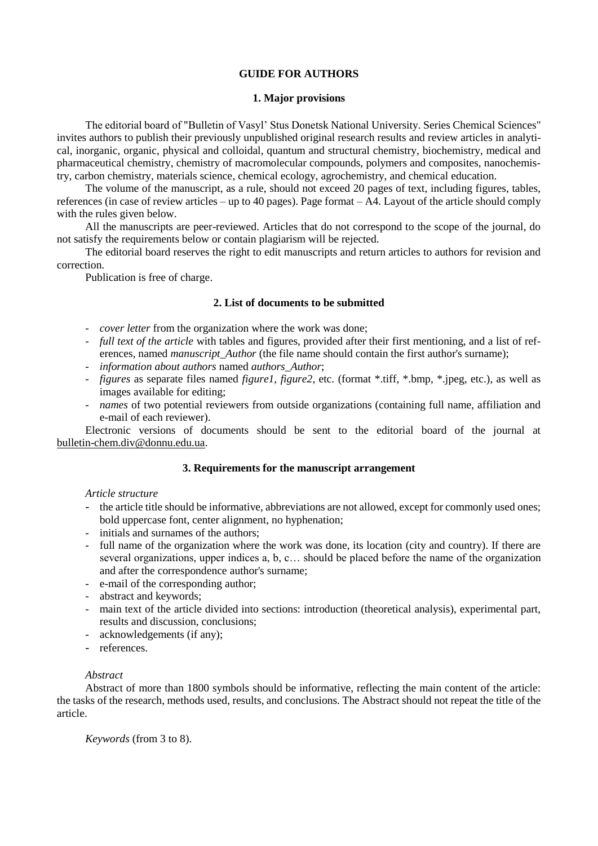# **GUIDE FOR AUTHORS**

#### **1. Major provisions**

The editorial board of "Bulletin of Vasyl' Stus Donetsk National University. Series Chemical Sciences" invites authors to publish their previously unpublished original research results and review articles in analytical, inorganic, organic, physical and colloidal, quantum and structural chemistry, biochemistry, medical and pharmaceutical chemistry, chemistry of macromolecular compounds, polymers and composites, nanochemistry, carbon chemistry, materials science, chemical ecology, agrochemistry, and chemical education.

The volume of the manuscript, as a rule, should not exceed 20 pages of text, including figures, tables, references (in case of review articles – up to 40 pages). Page format – A4. Layout of the article should comply with the rules given below.

All the manuscripts are peer-reviewed. Articles that do not correspond to the scope of the journal, do not satisfy the requirements below or contain plagiarism will be rejected.

The editorial board reserves the right to edit manuscripts and return articles to authors for revision and correction.

Publication is free of charge.

### **2. List of documents to be submitted**

- *cover letter* from the organization where the work was done;
- *full text of the article* with tables and figures, provided after their first mentioning, and a list of references, named *manuscript* Author (the file name should contain the first author's surname);
- *information about authors* named *authors\_Author*;
- *figures* as separate files named *figure1, figure2*, etc. (format \*.tiff, \*.bmp, \*.jpeg, etc.), as well as images available for editing;
- *names* of two potential reviewers from outside organizations (containing full name, affiliation and e-mail of each reviewer).

Electronic versions of documents should be sent to the editorial board of the journal at [bulletin-chem.div@donnu.edu.ua.](mailto:bulletinchem.div@donnu.edu.ua)

# **3. Requirements for the manuscript arrangement**

### *Article structure*

- the article title should be informative, abbreviations are not allowed, except for commonly used ones; bold uppercase font, center alignment, no hyphenation;
- initials and surnames of the authors;
- full name of the organization where the work was done, its location (city and country). If there are several organizations, upper indices a, b, c… should be placed before the name of the organization and after the correspondence author's surname;
- e-mail of the corresponding author;
- abstract and keywords;
- main text of the article divided into sections: introduction (theoretical analysis), experimental part, results and discussion, conclusions;
- acknowledgements (if any);
- references.

### *Abstract*

Abstract of more than 1800 symbols should be informative, reflecting the main content of the article: the tasks of the research, methods used, results, and conclusions. The Abstract should not repeat the title of the article.

*Keywords* (from 3 to 8).